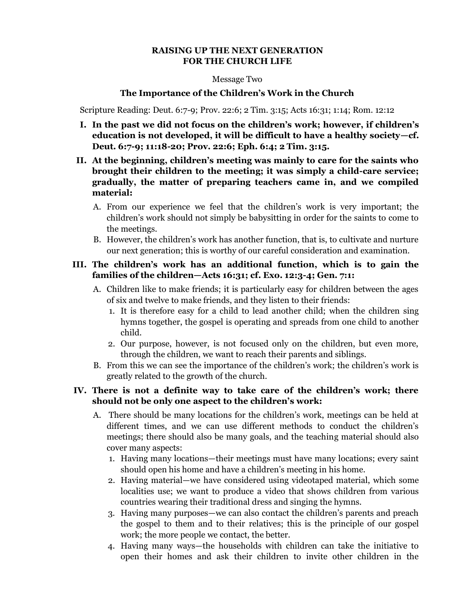## **RAISING UP THE NEXT GENERATION FOR THE CHURCH LIFE**

### Message Two

## **The Importance of the Children's Work in the Church**

Scripture Reading: Deut. 6:7-9; Prov. 22:6; 2 Tim. 3:15; Acts 16:31; 1:14; Rom. 12:12

- **I. In the past we did not focus on the children's work; however, if children's education is not developed, it will be difficult to have a healthy society—cf. Deut. 6:7-9; 11:18-20; Prov. 22:6; Eph. 6:4; 2 Tim. 3:15.**
- **II. At the beginning, children's meeting was mainly to care for the saints who brought their children to the meeting; it was simply a child-care service; gradually, the matter of preparing teachers came in, and we compiled material:**
	- A. From our experience we feel that the children's work is very important; the children's work should not simply be babysitting in order for the saints to come to the meetings.
	- B. However, the children's work has another function, that is, to cultivate and nurture our next generation; this is worthy of our careful consideration and examination.

# **III. The children's work has an additional function, which is to gain the families of the children—Acts 16:31; cf. Exo. 12:3-4; Gen. 7:1:**

- A. Children like to make friends; it is particularly easy for children between the ages of six and twelve to make friends, and they listen to their friends:
	- 1. It is therefore easy for a child to lead another child; when the children sing hymns together, the gospel is operating and spreads from one child to another child.
	- 2. Our purpose, however, is not focused only on the children, but even more, through the children, we want to reach their parents and siblings.
- B. From this we can see the importance of the children's work; the children's work is greatly related to the growth of the church.

# **IV. There is not a definite way to take care of the children's work; there should not be only one aspect to the children's work:**

- A. There should be many locations for the children's work, meetings can be held at different times, and we can use different methods to conduct the children's meetings; there should also be many goals, and the teaching material should also cover many aspects:
	- 1. Having many locations—their meetings must have many locations; every saint should open his home and have a children's meeting in his home.
	- 2. Having material—we have considered using videotaped material, which some localities use; we want to produce a video that shows children from various countries wearing their traditional dress and singing the hymns.
	- 3. Having many purposes—we can also contact the children's parents and preach the gospel to them and to their relatives; this is the principle of our gospel work; the more people we contact, the better.
	- 4. Having many ways—the households with children can take the initiative to open their homes and ask their children to invite other children in the